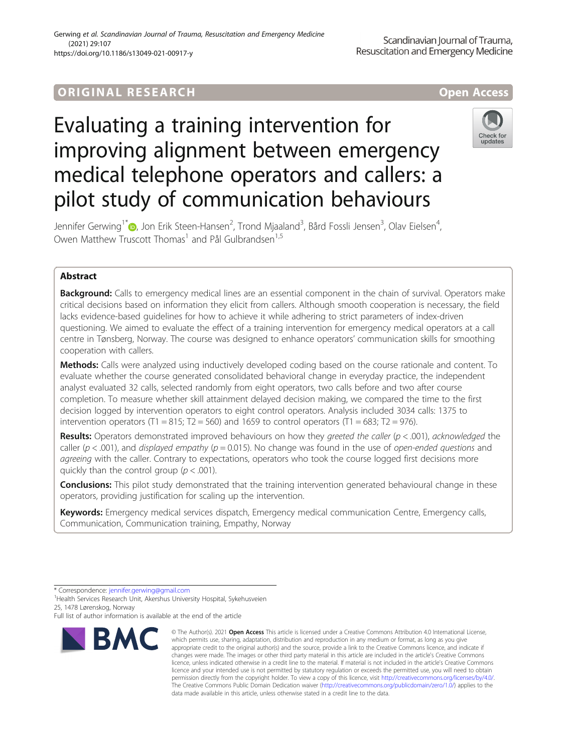# **ORIGINAL RESEARCH And Access** open Access

# Evaluating a training intervention for improving alignment between emergency medical telephone operators and callers: a pilot study of communication behaviours



Jennifer Gerwing<sup>1\*</sup> $\bullet$ , Jon Erik Steen-Hansen<sup>2</sup>, Trond Mjaaland<sup>3</sup>, Bård Fossli Jensen<sup>3</sup>, Olav Eielsen<sup>4</sup> , Owen Matthew Truscott Thomas<sup>1</sup> and Pål Gulbrandsen<sup>1,5</sup>

# Abstract

**Background:** Calls to emergency medical lines are an essential component in the chain of survival. Operators make critical decisions based on information they elicit from callers. Although smooth cooperation is necessary, the field lacks evidence-based guidelines for how to achieve it while adhering to strict parameters of index-driven questioning. We aimed to evaluate the effect of a training intervention for emergency medical operators at a call centre in Tønsberg, Norway. The course was designed to enhance operators' communication skills for smoothing cooperation with callers.

Methods: Calls were analyzed using inductively developed coding based on the course rationale and content. To evaluate whether the course generated consolidated behavioral change in everyday practice, the independent analyst evaluated 32 calls, selected randomly from eight operators, two calls before and two after course completion. To measure whether skill attainment delayed decision making, we compared the time to the first decision logged by intervention operators to eight control operators. Analysis included 3034 calls: 1375 to intervention operators (T1 = 815; T2 = 560) and 1659 to control operators (T1 = 683; T2 = 976).

Results: Operators demonstrated improved behaviours on how they greeted the caller ( $p < .001$ ), acknowledged the caller ( $p$  < .001), and displayed empathy ( $p$  = 0.015). No change was found in the use of open-ended questions and agreeing with the caller. Contrary to expectations, operators who took the course logged first decisions more quickly than the control group ( $p < .001$ ).

**Conclusions:** This pilot study demonstrated that the training intervention generated behavioural change in these operators, providing justification for scaling up the intervention.

Keywords: Emergency medical services dispatch, Emergency medical communication Centre, Emergency calls, Communication, Communication training, Empathy, Norway

Full list of author information is available at the end of the article



<sup>©</sup> The Author(s), 2021 **Open Access** This article is licensed under a Creative Commons Attribution 4.0 International License, which permits use, sharing, adaptation, distribution and reproduction in any medium or format, as long as you give appropriate credit to the original author(s) and the source, provide a link to the Creative Commons licence, and indicate if changes were made. The images or other third party material in this article are included in the article's Creative Commons licence, unless indicated otherwise in a credit line to the material. If material is not included in the article's Creative Commons licence and your intended use is not permitted by statutory regulation or exceeds the permitted use, you will need to obtain permission directly from the copyright holder. To view a copy of this licence, visit [http://creativecommons.org/licenses/by/4.0/.](http://creativecommons.org/licenses/by/4.0/) The Creative Commons Public Domain Dedication waiver [\(http://creativecommons.org/publicdomain/zero/1.0/](http://creativecommons.org/publicdomain/zero/1.0/)) applies to the data made available in this article, unless otherwise stated in a credit line to the data.

<sup>\*</sup> Correspondence: [jennifer.gerwing@gmail.com](mailto:jennifer.gerwing@gmail.com) <sup>1</sup>

<sup>&</sup>lt;sup>1</sup>Health Services Research Unit, Akershus University Hospital, Sykehusveien 25, 1478 Lørenskog, Norway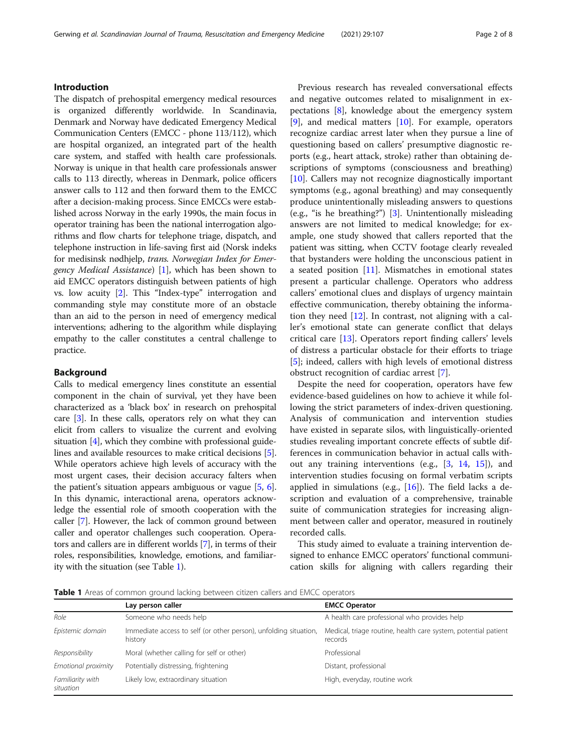# Introduction

The dispatch of prehospital emergency medical resources is organized differently worldwide. In Scandinavia, Denmark and Norway have dedicated Emergency Medical Communication Centers (EMCC - phone 113/112), which are hospital organized, an integrated part of the health care system, and staffed with health care professionals. Norway is unique in that health care professionals answer calls to 113 directly, whereas in Denmark, police officers answer calls to 112 and then forward them to the EMCC after a decision-making process. Since EMCCs were established across Norway in the early 1990s, the main focus in operator training has been the national interrogation algorithms and flow charts for telephone triage, dispatch, and telephone instruction in life-saving first aid (Norsk indeks for medisinsk nødhjelp, trans. Norwegian Index for Emergency Medical Assistance) [[1](#page-6-0)], which has been shown to aid EMCC operators distinguish between patients of high vs. low acuity [\[2\]](#page-6-0). This "Index-type" interrogation and commanding style may constitute more of an obstacle than an aid to the person in need of emergency medical interventions; adhering to the algorithm while displaying empathy to the caller constitutes a central challenge to practice.

# Background

Calls to medical emergency lines constitute an essential component in the chain of survival, yet they have been characterized as a 'black box' in research on prehospital care [[3](#page-6-0)]. In these calls, operators rely on what they can elicit from callers to visualize the current and evolving situation [\[4](#page-6-0)], which they combine with professional guidelines and available resources to make critical decisions [[5](#page-7-0)]. While operators achieve high levels of accuracy with the most urgent cases, their decision accuracy falters when the patient's situation appears ambiguous or vague [\[5,](#page-7-0) [6](#page-7-0)]. In this dynamic, interactional arena, operators acknowledge the essential role of smooth cooperation with the caller [[7](#page-7-0)]. However, the lack of common ground between caller and operator challenges such cooperation. Operators and callers are in different worlds [\[7](#page-7-0)], in terms of their roles, responsibilities, knowledge, emotions, and familiarity with the situation (see Table 1).

Previous research has revealed conversational effects and negative outcomes related to misalignment in expectations [\[8](#page-7-0)], knowledge about the emergency system  $[9]$  $[9]$ , and medical matters  $[10]$  $[10]$ . For example, operators recognize cardiac arrest later when they pursue a line of questioning based on callers' presumptive diagnostic reports (e.g., heart attack, stroke) rather than obtaining descriptions of symptoms (consciousness and breathing) [[10\]](#page-7-0). Callers may not recognize diagnostically important symptoms (e.g., agonal breathing) and may consequently produce unintentionally misleading answers to questions (e.g., "is he breathing?") [\[3](#page-6-0)]. Unintentionally misleading answers are not limited to medical knowledge; for example, one study showed that callers reported that the patient was sitting, when CCTV footage clearly revealed that bystanders were holding the unconscious patient in a seated position [\[11](#page-7-0)]. Mismatches in emotional states present a particular challenge. Operators who address callers' emotional clues and displays of urgency maintain effective communication, thereby obtaining the information they need [\[12](#page-7-0)]. In contrast, not aligning with a caller's emotional state can generate conflict that delays critical care [[13\]](#page-7-0). Operators report finding callers' levels of distress a particular obstacle for their efforts to triage [[5\]](#page-7-0); indeed, callers with high levels of emotional distress obstruct recognition of cardiac arrest [[7\]](#page-7-0).

Despite the need for cooperation, operators have few evidence-based guidelines on how to achieve it while following the strict parameters of index-driven questioning. Analysis of communication and intervention studies have existed in separate silos, with linguistically-oriented studies revealing important concrete effects of subtle differences in communication behavior in actual calls without any training interventions (e.g., [[3,](#page-6-0) [14,](#page-7-0) [15](#page-7-0)]), and intervention studies focusing on formal verbatim scripts applied in simulations (e.g., [[16\]](#page-7-0)). The field lacks a description and evaluation of a comprehensive, trainable suite of communication strategies for increasing alignment between caller and operator, measured in routinely recorded calls.

This study aimed to evaluate a training intervention designed to enhance EMCC operators' functional communication skills for aligning with callers regarding their

Table 1 Areas of common ground lacking between citizen callers and EMCC operators

|                               | Lay person caller                                                           | <b>EMCC Operator</b>                                                      |
|-------------------------------|-----------------------------------------------------------------------------|---------------------------------------------------------------------------|
| Role                          | Someone who needs help                                                      | A health care professional who provides help                              |
| Epistemic domain              | Immediate access to self (or other person), unfolding situation,<br>history | Medical, triage routine, health care system, potential patient<br>records |
| Responsibility                | Moral (whether calling for self or other)                                   | Professional                                                              |
| Emotional proximity           | Potentially distressing, frightening                                        | Distant, professional                                                     |
| Familiarity with<br>situation | Likely low, extraordinary situation                                         | High, everyday, routine work                                              |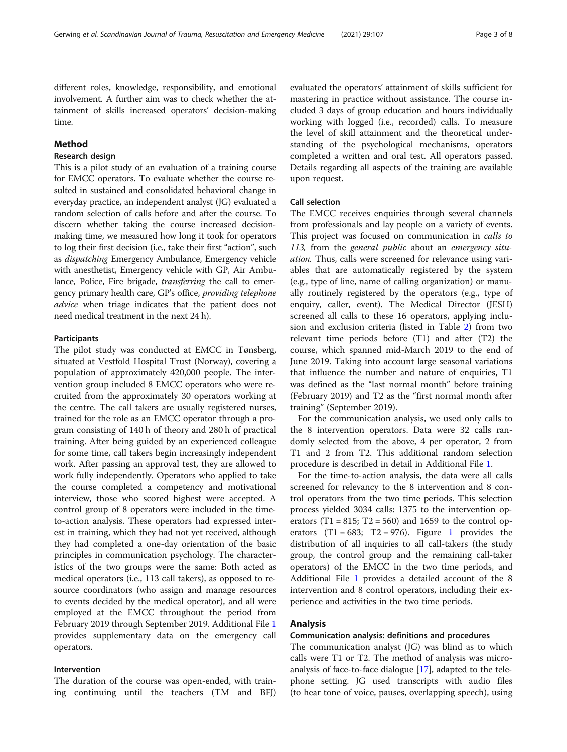different roles, knowledge, responsibility, and emotional involvement. A further aim was to check whether the attainment of skills increased operators' decision-making time.

# Method

# Research design

This is a pilot study of an evaluation of a training course for EMCC operators. To evaluate whether the course resulted in sustained and consolidated behavioral change in everyday practice, an independent analyst (JG) evaluated a random selection of calls before and after the course. To discern whether taking the course increased decisionmaking time, we measured how long it took for operators to log their first decision (i.e., take their first "action", such as dispatching Emergency Ambulance, Emergency vehicle with anesthetist, Emergency vehicle with GP, Air Ambulance, Police, Fire brigade, transferring the call to emergency primary health care, GP's office, providing telephone advice when triage indicates that the patient does not need medical treatment in the next 24 h).

# Participants

The pilot study was conducted at EMCC in Tønsberg, situated at Vestfold Hospital Trust (Norway), covering a population of approximately 420,000 people. The intervention group included 8 EMCC operators who were recruited from the approximately 30 operators working at the centre. The call takers are usually registered nurses, trained for the role as an EMCC operator through a program consisting of 140 h of theory and 280 h of practical training. After being guided by an experienced colleague for some time, call takers begin increasingly independent work. After passing an approval test, they are allowed to work fully independently. Operators who applied to take the course completed a competency and motivational interview, those who scored highest were accepted. A control group of 8 operators were included in the timeto-action analysis. These operators had expressed interest in training, which they had not yet received, although they had completed a one-day orientation of the basic principles in communication psychology. The characteristics of the two groups were the same: Both acted as medical operators (i.e., 113 call takers), as opposed to resource coordinators (who assign and manage resources to events decided by the medical operator), and all were employed at the EMCC throughout the period from February 2019 through September 2019. Additional File [1](#page-6-0) provides supplementary data on the emergency call operators.

# Intervention

The duration of the course was open-ended, with training continuing until the teachers (TM and BFJ) evaluated the operators' attainment of skills sufficient for mastering in practice without assistance. The course included 3 days of group education and hours individually working with logged (i.e., recorded) calls. To measure the level of skill attainment and the theoretical understanding of the psychological mechanisms, operators completed a written and oral test. All operators passed. Details regarding all aspects of the training are available upon request.

# Call selection

The EMCC receives enquiries through several channels from professionals and lay people on a variety of events. This project was focused on communication in calls to 113, from the general public about an emergency situation. Thus, calls were screened for relevance using variables that are automatically registered by the system (e.g., type of line, name of calling organization) or manually routinely registered by the operators (e.g., type of enquiry, caller, event). The Medical Director (JESH) screened all calls to these 16 operators, applying inclusion and exclusion criteria (listed in Table [2](#page-3-0)) from two relevant time periods before (T1) and after (T2) the course, which spanned mid-March 2019 to the end of June 2019. Taking into account large seasonal variations that influence the number and nature of enquiries, T1 was defined as the "last normal month" before training (February 2019) and T2 as the "first normal month after training" (September 2019).

For the communication analysis, we used only calls to the 8 intervention operators. Data were 32 calls randomly selected from the above, 4 per operator, 2 from T1 and 2 from T2. This additional random selection procedure is described in detail in Additional File [1.](#page-6-0)

For the time-to-action analysis, the data were all calls screened for relevancy to the 8 intervention and 8 control operators from the two time periods. This selection process yielded 3034 calls: 1375 to the intervention operators (T1 = 815; T2 = 560) and 1659 to the control operators  $(T1 = 683; T2 = 976)$  $(T1 = 683; T2 = 976)$  $(T1 = 683; T2 = 976)$ . Figure 1 provides the distribution of all inquiries to all call-takers (the study group, the control group and the remaining call-taker operators) of the EMCC in the two time periods, and Additional File [1](#page-6-0) provides a detailed account of the 8 intervention and 8 control operators, including their experience and activities in the two time periods.

# Analysis

# Communication analysis: definitions and procedures

The communication analyst (JG) was blind as to which calls were T1 or T2. The method of analysis was microanalysis of face-to-face dialogue [[17](#page-7-0)], adapted to the telephone setting. JG used transcripts with audio files (to hear tone of voice, pauses, overlapping speech), using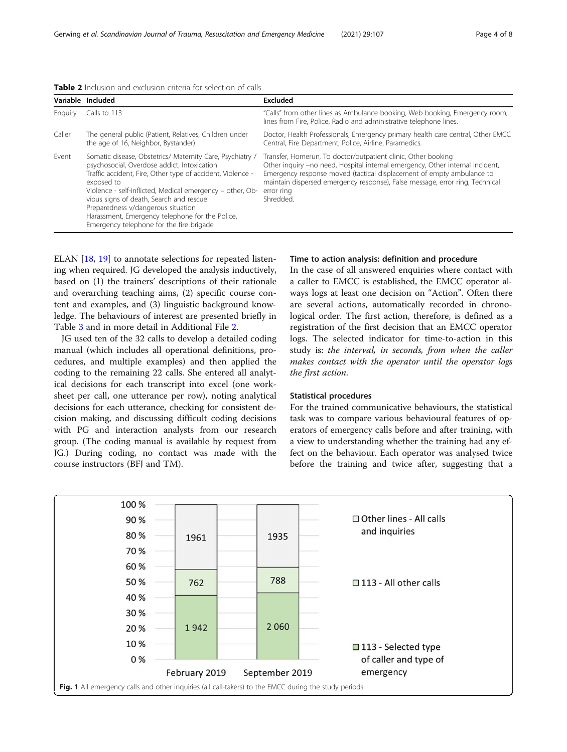<span id="page-3-0"></span>

|  |  | <b>Table 2</b> Inclusion and exclusion criteria for selection of calls |
|--|--|------------------------------------------------------------------------|
|--|--|------------------------------------------------------------------------|

|         | Variable Included                                                                                                                                                                                                                                                                                                                                                                                                                 | Excluded                                                                                                                                                                                                                                                                                                                           |
|---------|-----------------------------------------------------------------------------------------------------------------------------------------------------------------------------------------------------------------------------------------------------------------------------------------------------------------------------------------------------------------------------------------------------------------------------------|------------------------------------------------------------------------------------------------------------------------------------------------------------------------------------------------------------------------------------------------------------------------------------------------------------------------------------|
| Enguiry | Calls to 113                                                                                                                                                                                                                                                                                                                                                                                                                      | "Calls" from other lines as Ambulance booking, Web booking, Emergency room,<br>lines from Fire, Police, Radio and administrative telephone lines.                                                                                                                                                                                  |
| Caller  | The general public (Patient, Relatives, Children under<br>the age of 16, Neighbor, Bystander)                                                                                                                                                                                                                                                                                                                                     | Doctor, Health Professionals, Emergency primary health care central, Other EMCC<br>Central, Fire Department, Police, Airline, Paramedics.                                                                                                                                                                                          |
| Event   | Somatic disease, Obstetrics/ Maternity Care, Psychiatry /<br>psychosocial, Overdose addict, Intoxication<br>Traffic accident, Fire, Other type of accident, Violence -<br>exposed to<br>Violence - self-inflicted, Medical emergency - other, Ob-<br>vious signs of death, Search and rescue<br>Preparedness v/dangerous situation<br>Harassment, Emergency telephone for the Police,<br>Emergency telephone for the fire brigade | Transfer, Homerun, To doctor/outpatient clinic, Other booking<br>Other inquiry -no need, Hospital internal emergency, Other internal incident,<br>Emergency response moved (tactical displacement of empty ambulance to<br>maintain dispersed emergency response), False message, error ring, Technical<br>error ring<br>Shredded. |

ELAN [\[18](#page-7-0), [19](#page-7-0)] to annotate selections for repeated listening when required. JG developed the analysis inductively, based on (1) the trainers' descriptions of their rationale and overarching teaching aims, (2) specific course content and examples, and (3) linguistic background knowledge. The behaviours of interest are presented briefly in Table [3](#page-4-0) and in more detail in Additional File [2](#page-6-0).

JG used ten of the 32 calls to develop a detailed coding manual (which includes all operational definitions, procedures, and multiple examples) and then applied the coding to the remaining 22 calls. She entered all analytical decisions for each transcript into excel (one worksheet per call, one utterance per row), noting analytical decisions for each utterance, checking for consistent decision making, and discussing difficult coding decisions with PG and interaction analysts from our research group. (The coding manual is available by request from JG.) During coding, no contact was made with the course instructors (BFJ and TM).

# Time to action analysis: definition and procedure

In the case of all answered enquiries where contact with a caller to EMCC is established, the EMCC operator always logs at least one decision on "Action". Often there are several actions, automatically recorded in chronological order. The first action, therefore, is defined as a registration of the first decision that an EMCC operator logs. The selected indicator for time-to-action in this study is: the interval, in seconds, from when the caller makes contact with the operator until the operator logs the first action.

# Statistical procedures

For the trained communicative behaviours, the statistical task was to compare various behavioural features of operators of emergency calls before and after training, with a view to understanding whether the training had any effect on the behaviour. Each operator was analysed twice before the training and twice after, suggesting that a

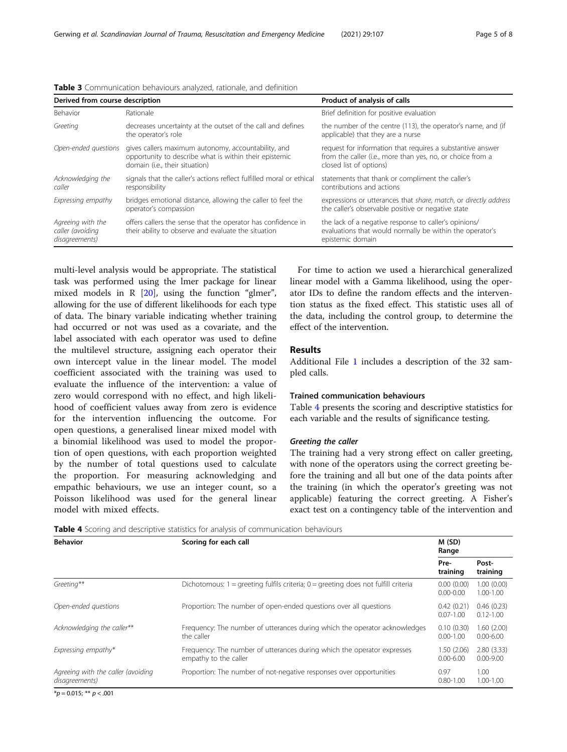| Derived from course description                         |                                                                                                                                                 | Product of analysis of calls                                                                                                                        |  |
|---------------------------------------------------------|-------------------------------------------------------------------------------------------------------------------------------------------------|-----------------------------------------------------------------------------------------------------------------------------------------------------|--|
| Behavior                                                | Rationale                                                                                                                                       | Brief definition for positive evaluation                                                                                                            |  |
| Greeting                                                | decreases uncertainty at the outset of the call and defines<br>the operator's role                                                              | the number of the centre (113), the operator's name, and (if<br>applicable) that they are a nurse                                                   |  |
| Open-ended questions                                    | gives callers maximum autonomy, accountability, and<br>opportunity to describe what is within their epistemic<br>domain (i.e., their situation) | request for information that requires a substantive answer<br>from the caller (i.e., more than yes, no, or choice from a<br>closed list of options) |  |
| Acknowledging the<br>caller                             | signals that the caller's actions reflect fulfilled moral or ethical<br>responsibility                                                          | statements that thank or compliment the caller's<br>contributions and actions                                                                       |  |
| Expressing empathy                                      | bridges emotional distance, allowing the caller to feel the<br>operator's compassion                                                            | expressions or utterances that share, match, or directly address<br>the caller's observable positive or negative state                              |  |
| Agreeing with the<br>caller (avoiding<br>disagreements) | offers callers the sense that the operator has confidence in<br>their ability to observe and evaluate the situation                             | the lack of a negative response to caller's opinions/<br>evaluations that would normally be within the operator's<br>epistemic domain               |  |

<span id="page-4-0"></span>Table 3 Communication behaviours analyzed, rationale, and definition

multi-level analysis would be appropriate. The statistical task was performed using the lmer package for linear mixed models in R [[20\]](#page-7-0), using the function "glmer", allowing for the use of different likelihoods for each type of data. The binary variable indicating whether training had occurred or not was used as a covariate, and the label associated with each operator was used to define the multilevel structure, assigning each operator their own intercept value in the linear model. The model coefficient associated with the training was used to evaluate the influence of the intervention: a value of zero would correspond with no effect, and high likelihood of coefficient values away from zero is evidence for the intervention influencing the outcome. For open questions, a generalised linear mixed model with a binomial likelihood was used to model the proportion of open questions, with each proportion weighted by the number of total questions used to calculate the proportion. For measuring acknowledging and empathic behaviours, we use an integer count, so a Poisson likelihood was used for the general linear model with mixed effects.

For time to action we used a hierarchical generalized linear model with a Gamma likelihood, using the operator IDs to define the random effects and the intervention status as the fixed effect. This statistic uses all of the data, including the control group, to determine the effect of the intervention.

# Results

Additional File [1](#page-6-0) includes a description of the 32 sampled calls.

# Trained communication behaviours

Table 4 presents the scoring and descriptive statistics for each variable and the results of significance testing.

# Greeting the caller

The training had a very strong effect on caller greeting, with none of the operators using the correct greeting before the training and all but one of the data points after the training (in which the operator's greeting was not applicable) featuring the correct greeting. A Fisher's exact test on a contingency table of the intervention and

**Table 4** Scoring and descriptive statistics for analysis of communication behaviours

| <b>Behavior</b>                                      | Scoring for each call                                                                            | M(SD)<br>Range              |                             |
|------------------------------------------------------|--------------------------------------------------------------------------------------------------|-----------------------------|-----------------------------|
|                                                      |                                                                                                  | Pre-<br>training            | Post-<br>training           |
| Greeting**                                           | Dichotomous: $1 =$ greeting fulfils criteria; $0 =$ greeting does not fulfill criteria           | 0.00(0.00)<br>$0.00 - 0.00$ | 1.00(0.00)<br>$1.00 - 1.00$ |
| Open-ended questions                                 | Proportion: The number of open-ended questions over all questions                                | 0.42(0.21)<br>$0.07 - 1.00$ | 0.46(0.23)<br>$0.12 - 1.00$ |
| Acknowledging the caller**                           | Frequency: The number of utterances during which the operator acknowledges<br>the caller         | 0.10(0.30)<br>$0.00 - 1.00$ | 1.60(2.00)<br>$0.00 - 6.00$ |
| Expressing empathy*                                  | Frequency: The number of utterances during which the operator expresses<br>empathy to the caller | 1.50(2.06)<br>$0.00 - 6.00$ | 2.80(3.33)<br>$0.00 - 9.00$ |
| Agreeing with the caller (avoiding<br>disagreements) | Proportion: The number of not-negative responses over opportunities                              | 0.97<br>$0.80 - 1.00$       | 1.00<br>$1.00 - 1.00$       |

 $*p = 0.015; ** p < .001$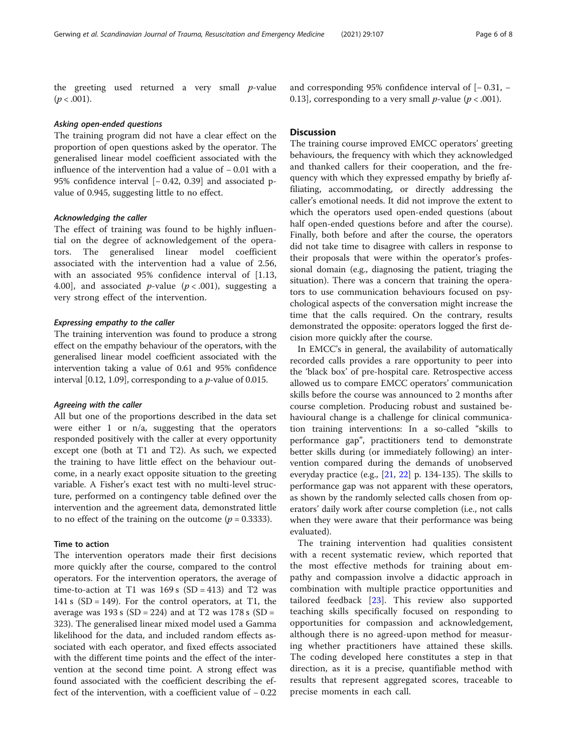the greeting used returned a very small  $p$ -value  $(p < .001)$ .

# Asking open-ended questions

The training program did not have a clear effect on the proportion of open questions asked by the operator. The generalised linear model coefficient associated with the influence of the intervention had a value of − 0.01 with a 95% confidence interval [− 0.42, 0.39] and associated pvalue of 0.945, suggesting little to no effect.

# Acknowledging the caller

The effect of training was found to be highly influential on the degree of acknowledgement of the operators. The generalised linear model coefficient associated with the intervention had a value of 2.56, with an associated 95% confidence interval of [1.13, 4.00], and associated *p*-value ( $p < .001$ ), suggesting a very strong effect of the intervention.

# Expressing empathy to the caller

The training intervention was found to produce a strong effect on the empathy behaviour of the operators, with the generalised linear model coefficient associated with the intervention taking a value of 0.61 and 95% confidence interval [0.12, 1.09], corresponding to a  $p$ -value of 0.015.

## Agreeing with the caller

All but one of the proportions described in the data set were either 1 or n/a, suggesting that the operators responded positively with the caller at every opportunity except one (both at T1 and T2). As such, we expected the training to have little effect on the behaviour outcome, in a nearly exact opposite situation to the greeting variable. A Fisher's exact test with no multi-level structure, performed on a contingency table defined over the intervention and the agreement data, demonstrated little to no effect of the training on the outcome ( $p = 0.3333$ ).

# Time to action

The intervention operators made their first decisions more quickly after the course, compared to the control operators. For the intervention operators, the average of time-to-action at T1 was  $169 s$  (SD = 413) and T2 was 141 s  $(SD = 149)$ . For the control operators, at T1, the average was  $193 s$  (SD = 224) and at T2 was  $178 s$  (SD = 323). The generalised linear mixed model used a Gamma likelihood for the data, and included random effects associated with each operator, and fixed effects associated with the different time points and the effect of the intervention at the second time point. A strong effect was found associated with the coefficient describing the effect of the intervention, with a coefficient value of − 0.22

# and corresponding 95% confidence interval of [− 0.31, − 0.13], corresponding to a very small *p*-value ( $p < .001$ ).

# **Discussion**

The training course improved EMCC operators' greeting behaviours, the frequency with which they acknowledged and thanked callers for their cooperation, and the frequency with which they expressed empathy by briefly affiliating, accommodating, or directly addressing the caller's emotional needs. It did not improve the extent to which the operators used open-ended questions (about half open-ended questions before and after the course). Finally, both before and after the course, the operators did not take time to disagree with callers in response to their proposals that were within the operator's professional domain (e.g., diagnosing the patient, triaging the situation). There was a concern that training the operators to use communication behaviours focused on psychological aspects of the conversation might increase the time that the calls required. On the contrary, results demonstrated the opposite: operators logged the first decision more quickly after the course.

In EMCC's in general, the availability of automatically recorded calls provides a rare opportunity to peer into the 'black box' of pre-hospital care. Retrospective access allowed us to compare EMCC operators' communication skills before the course was announced to 2 months after course completion. Producing robust and sustained behavioural change is a challenge for clinical communication training interventions: In a so-called "skills to performance gap", practitioners tend to demonstrate better skills during (or immediately following) an intervention compared during the demands of unobserved everyday practice (e.g., [[21,](#page-7-0) [22\]](#page-7-0) p. 134-135). The skills to performance gap was not apparent with these operators, as shown by the randomly selected calls chosen from operators' daily work after course completion (i.e., not calls when they were aware that their performance was being evaluated).

The training intervention had qualities consistent with a recent systematic review, which reported that the most effective methods for training about empathy and compassion involve a didactic approach in combination with multiple practice opportunities and tailored feedback [[23\]](#page-7-0). This review also supported teaching skills specifically focused on responding to opportunities for compassion and acknowledgement, although there is no agreed-upon method for measuring whether practitioners have attained these skills. The coding developed here constitutes a step in that direction, as it is a precise, quantifiable method with results that represent aggregated scores, traceable to precise moments in each call.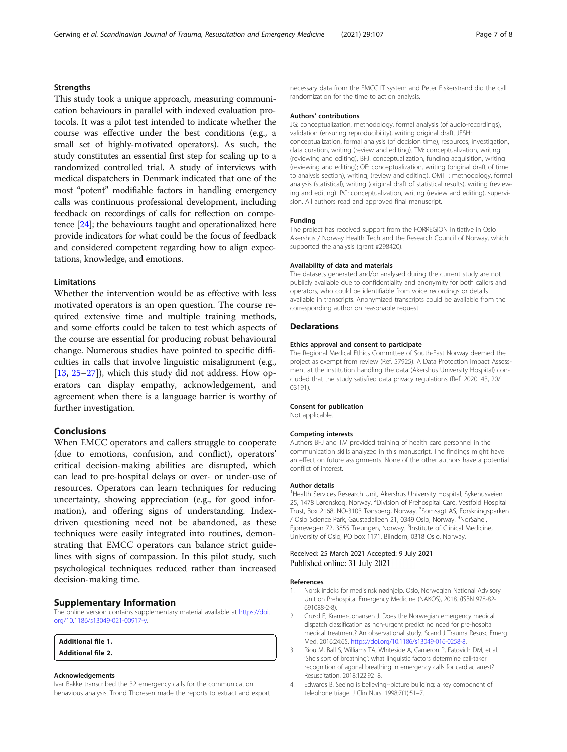# <span id="page-6-0"></span>**Strengths**

This study took a unique approach, measuring communication behaviours in parallel with indexed evaluation protocols. It was a pilot test intended to indicate whether the course was effective under the best conditions (e.g., a small set of highly-motivated operators). As such, the study constitutes an essential first step for scaling up to a randomized controlled trial. A study of interviews with medical dispatchers in Denmark indicated that one of the most "potent" modifiable factors in handling emergency calls was continuous professional development, including feedback on recordings of calls for reflection on competence [\[24\]](#page-7-0); the behaviours taught and operationalized here provide indicators for what could be the focus of feedback and considered competent regarding how to align expectations, knowledge, and emotions.

# **Limitations**

Whether the intervention would be as effective with less motivated operators is an open question. The course required extensive time and multiple training methods, and some efforts could be taken to test which aspects of the course are essential for producing robust behavioural change. Numerous studies have pointed to specific difficulties in calls that involve linguistic misalignment (e.g., [[13,](#page-7-0) [25](#page-7-0)–[27\]](#page-7-0)), which this study did not address. How operators can display empathy, acknowledgement, and agreement when there is a language barrier is worthy of further investigation.

# Conclusions

When EMCC operators and callers struggle to cooperate (due to emotions, confusion, and conflict), operators' critical decision-making abilities are disrupted, which can lead to pre-hospital delays or over- or under-use of resources. Operators can learn techniques for reducing uncertainty, showing appreciation (e.g., for good information), and offering signs of understanding. Indexdriven questioning need not be abandoned, as these techniques were easily integrated into routines, demonstrating that EMCC operators can balance strict guidelines with signs of compassion. In this pilot study, such psychological techniques reduced rather than increased decision-making time.

# Supplementary Information

The online version contains supplementary material available at [https://doi.](https://doi.org/10.1186/s13049-021-00917-y) [org/10.1186/s13049-021-00917-y](https://doi.org/10.1186/s13049-021-00917-y).

| <b>Additional file 1.</b> |  |
|---------------------------|--|
| <b>Additional file 2.</b> |  |

### Acknowledgements

Ivar Bakke transcribed the 32 emergency calls for the communication behavious analysis. Trond Thoresen made the reports to extract and export necessary data from the EMCC IT system and Peter Fiskerstrand did the call randomization for the time to action analysis.

#### Authors' contributions

JG: conceptualization, methodology, formal analysis (of audio-recordings), validation (ensuring reproducibility), writing original draft. JESH: conceptualization, formal analysis (of decision time), resources, investigation, data curation, writing (review and editing). TM: conceptualization, writing (reviewing and editing), BFJ: conceptualization, funding acquisition, writing (reviewing and editing); OE: conceptualization, writing (original draft of time to analysis section), writing, (review and editing). OMTT: methodology, formal analysis (statistical), writing (original draft of statistical results), writing (reviewing and editing). PG: conceptualization, writing (review and editing), supervision. All authors read and approved final manuscript.

#### Funding

The project has received support from the FORREGION initiative in Oslo Akershus / Norway Health Tech and the Research Council of Norway, which supported the analysis (grant #298420).

#### Availability of data and materials

The datasets generated and/or analysed during the current study are not publicly available due to confidentiality and anonymity for both callers and operators, who could be identifiable from voice recordings or details available in transcripts. Anonymized transcripts could be available from the corresponding author on reasonable request.

# **Declarations**

#### Ethics approval and consent to participate

The Regional Medical Ethics Committee of South-East Norway deemed the project as exempt from review (Ref. 57925). A Data Protection Impact Assessment at the institution handling the data (Akershus University Hospital) concluded that the study satisfied data privacy regulations (Ref. 2020\_43, 20/ 03191).

#### Consent for publication

Not applicable.

#### Competing interests

Authors BFJ and TM provided training of health care personnel in the communication skills analyzed in this manuscript. The findings might have an effect on future assignments. None of the other authors have a potential conflict of interest.

#### Author details

<sup>1</sup> Health Services Research Unit, Akershus University Hospital, Sykehusveien 25, 1478 Lørenskog, Norway. <sup>2</sup>Division of Prehospital Care, Vestfold Hospital Trust, Box 2168, NO-3103 Tønsberg, Norway. <sup>3</sup>Somsagt AS, Forskningsparken / Oslo Science Park, Gaustadalleen 21, 0349 Oslo, Norway. <sup>4</sup>NorSahel Fjonevegen 72, 3855 Treungen, Norway. <sup>5</sup>Institute of Clinical Medicine, University of Oslo, PO box 1171, Blindern, 0318 Oslo, Norway.

# Received: 25 March 2021 Accepted: 9 July 2021 Published online: 31 July 2021

# References

- 1. Norsk indeks for medisinsk nødhjelp. Oslo, Norwegian National Advisory Unit on Prehospital Emergency Medicine (NAKOS), 2018. (ISBN 978-82- 691088-2-8).
- 2. Grusd E, Kramer-Johansen J. Does the Norwegian emergency medical dispatch classification as non-urgent predict no need for pre-hospital medical treatment? An observational study. Scand J Trauma Resusc Emerg Med. 2016;24:65. <https://doi.org/10.1186/s13049-016-0258-8>.
- 3. Riou M, Ball S, Williams TA, Whiteside A, Cameron P, Fatovich DM, et al. 'She's sort of breathing': what linguistic factors determine call-taker recognition of agonal breathing in emergency calls for cardiac arrest? Resuscitation. 2018;122:92–8.
- 4. Edwards B. Seeing is believing--picture building: a key component of telephone triage. J Clin Nurs. 1998;7(1):51–7.